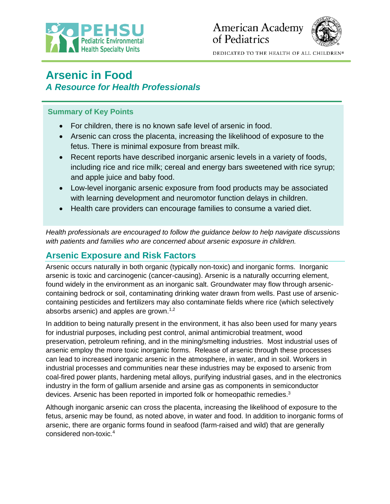



DEDICATED TO THE HEALTH OF ALL CHILDREN®

# **Arsenic in Food** *A Resource for Health Professionals*

### **Summary of Key Points**

- For children, there is no known safe level of arsenic in food.
- Arsenic can cross the placenta, increasing the likelihood of exposure to the fetus. There is minimal exposure from breast milk.
- Recent reports have described inorganic arsenic levels in a variety of foods, including rice and rice milk; cereal and energy bars sweetened with rice syrup; and apple juice and baby food.
- Low-level inorganic arsenic exposure from food products may be associated with learning development and neuromotor function delays in children.
- Health care providers can encourage families to consume a varied diet.

*Health professionals are encouraged to follow the guidance below to help navigate discussions with patients and families who are concerned about arsenic exposure in children.*

# **Arsenic Exposure and Risk Factors**

Arsenic occurs naturally in both organic (typically non-toxic) and inorganic forms. Inorganic arsenic is toxic and carcinogenic (cancer-causing). Arsenic is a naturally occurring element, found widely in the environment as an inorganic salt. Groundwater may flow through arseniccontaining bedrock or soil, contaminating drinking water drawn from wells. Past use of arseniccontaining pesticides and fertilizers may also contaminate fields where rice (which selectively absorbs arsenic) and apples are grown.<sup>1,2</sup>

In addition to being naturally present in the environment, it has also been used for many years for industrial purposes, including pest control, animal antimicrobial treatment, wood preservation, petroleum refining, and in the mining/smelting industries. Most industrial uses of arsenic employ the more toxic inorganic forms. Release of arsenic through these processes can lead to increased inorganic arsenic in the atmosphere, in water, and in soil. Workers in industrial processes and communities near these industries may be exposed to arsenic from coal-fired power plants, hardening metal alloys, purifying industrial gases, and in the electronics industry in the form of gallium arsenide and arsine gas as components in semiconductor devices. Arsenic has been reported in imported folk or homeopathic remedies.<sup>3</sup>

Although inorganic arsenic can cross the placenta, increasing the likelihood of exposure to the fetus, arsenic may be found, as noted above, in water and food. In addition to inorganic forms of arsenic, there are organic forms found in seafood (farm-raised and wild) that are generally considered non-toxic. 4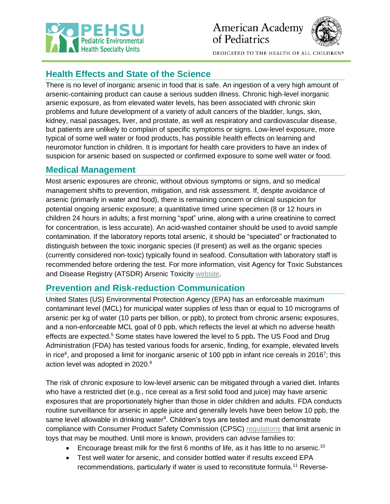



DEDICATED TO THE HEALTH OF ALL CHILDREN®

# **Health Effects and State of the Science**

There is no level of inorganic arsenic in food that is safe. An ingestion of a very high amount of arsenic-containing product can cause a serious sudden illness. Chronic high-level inorganic arsenic exposure, as from elevated water levels, has been associated with chronic skin problems and future development of a variety of adult cancers of the bladder, lungs, skin, kidney, nasal passages, liver, and prostate, as well as respiratory and cardiovascular disease, but patients are unlikely to complain of specific symptoms or signs. Low-level exposure, more typical of some well water or food products, has possible health effects on learning and neuromotor function in children. It is important for health care providers to have an index of suspicion for arsenic based on suspected or confirmed exposure to some well water or food.

## **Medical Management**

Most arsenic exposures are chronic, without obvious symptoms or signs, and so medical management shifts to prevention, mitigation, and risk assessment. If, despite avoidance of arsenic (primarily in water and food), there is remaining concern or clinical suspicion for potential ongoing arsenic exposure; a quantitative timed urine specimen (8 or 12 hours in children 24 hours in adults; a first morning "spot" urine, along with a urine creatinine to correct for concentration, is less accurate). An acid-washed container should be used to avoid sample contamination. If the laboratory reports total arsenic, it should be "speciated" or fractionated to distinguish between the toxic inorganic species (if present) as well as the organic species (currently considered non-toxic) typically found in seafood. Consultation with laboratory staff is recommended before ordering the test. For more information, visit Agency for Toxic Substances and Disease Registry (ATSDR) Arsenic Toxicity [website.](https://www.atsdr.cdc.gov/csem/arsenic/cover-page.html)

## **Prevention and Risk-reduction Communication**

United States (US) Environmental Protection Agency (EPA) has an enforceable maximum contaminant level (MCL) for municipal water supplies of less than or equal to 10 micrograms of arsenic per kg of water (10 parts per billion, or ppb), to protect from chronic arsenic exposures, and a non-enforceable MCL goal of 0 ppb, which reflects the level at which no adverse health effects are expected.<sup>5</sup> Some states have lowered the level to 5 ppb**.** The US Food and Drug Administration (FDA) has tested various foods for arsenic, finding, for example, elevated levels in rice<sup>6</sup>, and proposed a limit for inorganic arsenic of 100 ppb in infant rice cereals in 2016<sup>7</sup>; this action level was adopted in 2020.<sup>8</sup>

The risk of chronic exposure to low-level arsenic can be mitigated through a varied diet. Infants who have a restricted diet (e.g., rice cereal as a first solid food and juice) may have arsenic exposures that are proportionately higher than those in older children and adults. FDA conducts routine surveillance for arsenic in apple juice and generally levels have been below 10 ppb, the same level allowable in drinking water $9$ . Children's toys are tested and must demonstrate compliance with Consumer Product Safety Commission (CPSC) [regulations](https://www.cpsc.gov/Business--Manufacturing/Business-Education/Toy-Safety/ASTM-F-963-Chart) that limit arsenic in toys that may be mouthed. Until more is known, providers can advise families to:

- Encourage breast milk for the first 6 months of life, as it has little to no arsenic.<sup>10</sup>
- Test well water for arsenic, and consider bottled water if results exceed EPA recommendations, particularly if water is used to reconstitute formula.<sup>11</sup> Reverse-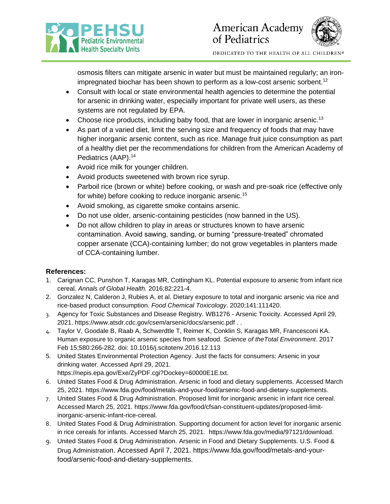



DEDICATED TO THE HEALTH OF ALL CHILDREN®

osmosis filters can mitigate arsenic in water but must be maintained regularly; an ironimpregnated biochar has been shown to perform as a low-cost arsenic sorbent.<sup>12</sup>

- Consult with local or state environmental health agencies to determine the potential for arsenic in drinking water, especially important for private well users, as these systems are not regulated by EPA.
- Choose rice products, including baby food, that are lower in inorganic arsenic.<sup>13</sup>
- As part of a varied diet, limit the serving size and frequency of foods that may have higher inorganic arsenic content, such as rice. Manage fruit juice consumption as part of a healthy diet per the recommendations for children from the American Academy of Pediatrics (AAP). 14
- Avoid rice milk for younger children.
- Avoid products sweetened with brown rice syrup.
- Parboil rice (brown or white) before cooking, or wash and pre-soak rice (effective only for white) before cooking to reduce inorganic arsenic.<sup>15</sup>
- Avoid smoking, as cigarette smoke contains arsenic.
- Do not use older, arsenic-containing pesticides (now banned in the US).
- Do not allow children to play in areas or structures known to have arsenic contamination. Avoid sawing, sanding, or burning "pressure-treated" chromated copper arsenate (CCA)-containing lumber; do not grow vegetables in planters made of CCA-containing lumber.

#### **References:**

- 1. Carignan CC, Punshon T, Karagas MR, Cottingham KL. Potential exposure to arsenic from infant rice cereal. *Annals of Global Health.* 2016;82:221-4.
- 2. Gonzalez N, Calderon J, Rubies A, et al. Dietary exposure to total and inorganic arsenic via rice and rice-based product consumption. *Food Chemical Toxicology*. 2020;141:111420.
- 3. Agency for Toxic Substances and Disease Registry. WB1276 Arsenic Toxicity. Accessed April 29, 2021. <https://www.atsdr.cdc.gov/csem/arsenic/docs/arsenic.pdf> . .
- 4. Taylor V, Goodale B, Raab A, Schwerdtle T, Reimer K, Conklin S, Karagas MR, Francesconi KA. Human exposure to organic arsenic species from seafood. *Science of theTotal Environment*. 2017 Feb 15;580:266-282. doi: 10.1016/j.scitotenv.2016.12.113
- 5. United States Environmental Protection Agency. Just the facts for consumers: Arsenic in your drinking water. Accessed April 29, 2021.
	- [https://nepis.epa.gov/Exe/ZyPDF.cgi?Dockey=60000E1E.txt.](https://nepis.epa.gov/Exe/ZyPDF.cgi?Dockey=60000E1E.txt)
- 6. United States Food & Drug Administration. Arsenic in food and dietary supplements. Accessed March 25, 2021. [https://www.fda.gov/food/metals-and-your-food/arsenic-food-and-dietary-supplements.](https://www.fda.gov/food/metals-and-your-food/arsenic-food-and-dietary-supplements)
- 7. United States Food & Drug Administration. Proposed limit for inorganic arsenic in infant rice cereal. Accessed March 25, 2021. [https://www.fda.gov/food/cfsan-constituent-updates/proposed-limit](https://www.fda.gov/food/cfsan-constituent-updates/proposed-limit-inorganic-arsenic-infant-rice-cereal)[inorganic-arsenic-infant-rice-cereal.](https://www.fda.gov/food/cfsan-constituent-updates/proposed-limit-inorganic-arsenic-infant-rice-cereal)
- 8. United States Food & Drug Administration. Supporting document for action level for inorganic arsenic in rice cereals for infants. Accessed March 25, 2021. [https://www.fda.gov/media/97121/download.](https://www.fda.gov/media/97121/download)
- 9. United States Food & Drug Administration. Arsenic in Food and Dietary Supplements. U.S. Food & Drug Administration. [Accessed April 7,](https://www.fda.gov/food/metals-and-your-food/arsenic-food-and-dietary-supplements%20Accessed%20April%207) 2021. [https://www.fda.gov/food/metals-and-your](https://www.fda.gov/food/metals-and-your-food/arsenic-food-and-dietary-supplements)[food/arsenic-food-and-dietary-supplements.](https://www.fda.gov/food/metals-and-your-food/arsenic-food-and-dietary-supplements)